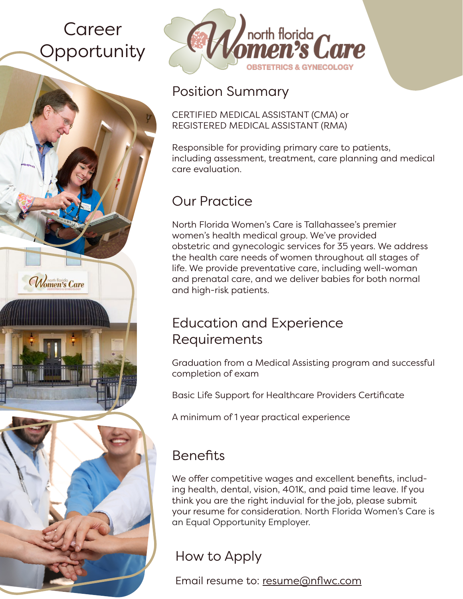# Career **Opportunity**

Women's Care



#### Position Summary

CERTIFIED MEDICAL ASSISTANT (CMA) or REGISTERED MEDICAL ASSISTANT (RMA)

Responsible for providing primary care to patients, including assessment, treatment, care planning and medical care evaluation.

# Our Practice

North Florida Women's Care is Tallahassee's premier women's health medical group. We've provided obstetric and gynecologic services for 35 years. We address the health care needs of women throughout all stages of life. We provide preventative care, including well-woman and prenatal care, and we deliver babies for both normal and high-risk patients.

#### Education and Experience Requirements

Graduation from a Medical Assisting program and successful completion of exam

Basic Life Support for Healthcare Providers Certificate

A minimum of 1 year practical experience

## **Benefits**

We offer competitive wages and excellent benefits, including health, dental, vision, 401K, and paid time leave. If you think you are the right induvial for the job, please submit your resume for consideration. North Florida Women's Care is an Equal Opportunity Employer.

## How to Apply

Email resume to: resume@nflwc.com